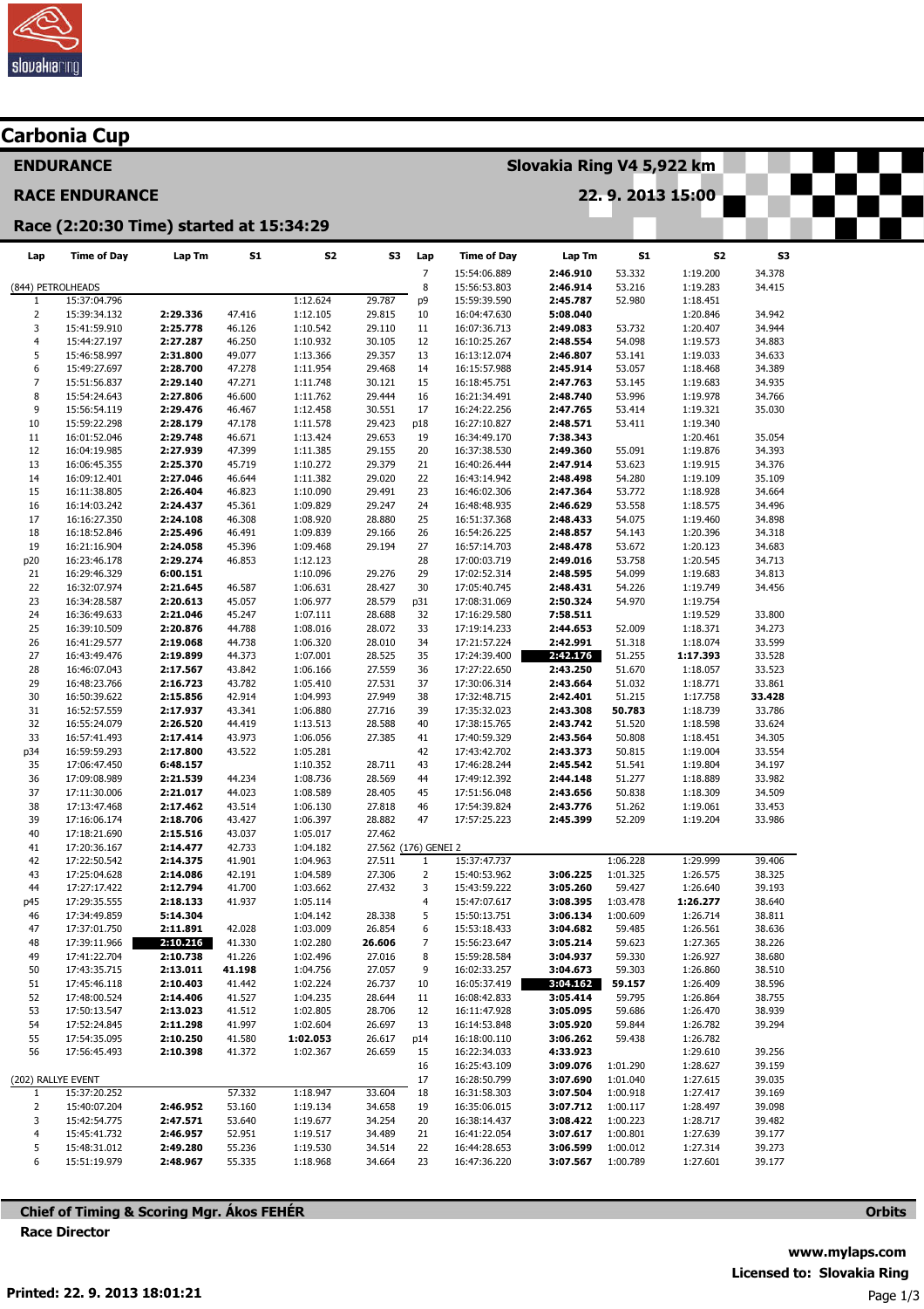

| Carbonia Cup                            |                              |                      |                  |                      |                      |                           |                              |                      |                      |                      |                  |  |  |  |
|-----------------------------------------|------------------------------|----------------------|------------------|----------------------|----------------------|---------------------------|------------------------------|----------------------|----------------------|----------------------|------------------|--|--|--|
|                                         | <b>ENDURANCE</b>             |                      |                  |                      |                      | Slovakia Ring V4 5,922 km |                              |                      |                      |                      |                  |  |  |  |
| <b>RACE ENDURANCE</b>                   |                              |                      |                  |                      |                      |                           | 22.9.2013 15:00              |                      |                      |                      |                  |  |  |  |
| Race (2:20:30 Time) started at 15:34:29 |                              |                      |                  |                      |                      |                           |                              |                      |                      |                      |                  |  |  |  |
| Lap                                     | <b>Time of Day</b>           | Lap Tm               | <b>S1</b>        | S <sub>2</sub>       | <b>S3</b>            | Lap                       | <b>Time of Day</b>           | Lap Tm               | <b>S1</b>            | S2                   | S3               |  |  |  |
| (844) PETROLHEADS                       |                              |                      |                  |                      |                      | $\overline{7}$<br>8       | 15:54:06.889<br>15:56:53.803 | 2:46.910<br>2:46.914 | 53.332<br>53.216     | 1:19.200<br>1:19.283 | 34.378<br>34.415 |  |  |  |
| $\mathbf{1}$                            | 15:37:04.796                 |                      |                  | 1:12.624             | 29.787               | p9                        | 15:59:39.590                 | 2:45.787             | 52.980               | 1:18.451             |                  |  |  |  |
| $\overline{2}$                          | 15:39:34.132                 | 2:29.336             | 47.416           | 1:12.105             | 29.815               | 10                        | 16:04:47.630                 | 5:08.040             |                      | 1:20.846             | 34.942           |  |  |  |
| 3<br>$\overline{4}$                     | 15:41:59.910<br>15:44:27.197 | 2:25.778<br>2:27.287 | 46.126<br>46.250 | 1:10.542<br>1:10.932 | 29.110<br>30.105     | 11<br>12                  | 16:07:36.713                 | 2:49.083<br>2:48.554 | 53.732<br>54.098     | 1:20.407<br>1:19.573 | 34.944<br>34.883 |  |  |  |
| 5                                       | 15:46:58.997                 | 2:31.800             | 49.077           | 1:13.366             | 29.357               | 13                        | 16:10:25.267<br>16:13:12.074 | 2:46.807             | 53.141               | 1:19.033             | 34.633           |  |  |  |
| 6                                       | 15:49:27.697                 | 2:28.700             | 47.278           | 1:11.954             | 29.468               | 14                        | 16:15:57.988                 | 2:45.914             | 53.057               | 1:18.468             | 34.389           |  |  |  |
| $\overline{7}$                          | 15:51:56.837                 | 2:29.140             | 47.271           | 1:11.748             | 30.121               | 15                        | 16:18:45.751                 | 2:47.763             | 53.145               | 1:19.683             | 34.935           |  |  |  |
| 8                                       | 15:54:24.643                 | 2:27.806             | 46.600           | 1:11.762             | 29.444               | 16                        | 16:21:34.491                 | 2:48.740             | 53.996               | 1:19.978             | 34.766           |  |  |  |
| 9                                       | 15:56:54.119                 | 2:29.476             | 46.467           | 1:12.458             | 30.551               | 17                        | 16:24:22.256                 | 2:47.765             | 53.414               | 1:19.321             | 35.030           |  |  |  |
| 10<br>11                                | 15:59:22.298<br>16:01:52.046 | 2:28.179             | 47.178           | 1:11.578             | 29.423               | p18<br>19                 | 16:27:10.827                 | 2:48.571<br>7:38.343 | 53.411               | 1:19.340             | 35.054           |  |  |  |
| 12                                      | 16:04:19.985                 | 2:29.748<br>2:27.939 | 46.671<br>47.399 | 1:13.424<br>1:11.385 | 29.653<br>29.155     | 20                        | 16:34:49.170<br>16:37:38.530 | 2:49.360             | 55.091               | 1:20.461<br>1:19.876 | 34.393           |  |  |  |
| 13                                      | 16:06:45.355                 | 2:25.370             | 45.719           | 1:10.272             | 29.379               | 21                        | 16:40:26.444                 | 2:47.914             | 53.623               | 1:19.915             | 34.376           |  |  |  |
| 14                                      | 16:09:12.401                 | 2:27.046             | 46.644           | 1:11.382             | 29.020               | 22                        | 16:43:14.942                 | 2:48.498             | 54.280               | 1:19.109             | 35.109           |  |  |  |
| 15                                      | 16:11:38.805                 | 2:26.404             | 46.823           | 1:10.090             | 29.491               | 23                        | 16:46:02.306                 | 2:47.364             | 53.772               | 1:18.928             | 34.664           |  |  |  |
| 16                                      | 16:14:03.242                 | 2:24.437             | 45.361           | 1:09.829             | 29.247               | 24                        | 16:48:48.935                 | 2:46.629             | 53.558               | 1:18.575             | 34.496           |  |  |  |
| 17                                      | 16:16:27.350                 | 2:24.108             | 46.308           | 1:08.920             | 28.880               | 25                        | 16:51:37.368                 | 2:48.433             | 54.075               | 1:19.460             | 34.898           |  |  |  |
| 18<br>19                                | 16:18:52.846<br>16:21:16.904 | 2:25.496<br>2:24.058 | 46.491<br>45.396 | 1:09.839<br>1:09.468 | 29.166<br>29.194     | 26<br>27                  | 16:54:26.225<br>16:57:14.703 | 2:48.857<br>2:48.478 | 54.143<br>53.672     | 1:20.396<br>1:20.123 | 34.318<br>34.683 |  |  |  |
| p20                                     | 16:23:46.178                 | 2:29.274             | 46.853           | 1:12.123             |                      | 28                        | 17:00:03.719                 | 2:49.016             | 53.758               | 1:20.545             | 34.713           |  |  |  |
| 21                                      | 16:29:46.329                 | 6:00.151             |                  | 1:10.096             | 29.276               | 29                        | 17:02:52.314                 | 2:48.595             | 54.099               | 1:19.683             | 34.813           |  |  |  |
| 22                                      | 16:32:07.974                 | 2:21.645             | 46.587           | 1:06.631             | 28.427               | 30                        | 17:05:40.745                 | 2:48.431             | 54.226               | 1:19.749             | 34.456           |  |  |  |
| 23                                      | 16:34:28.587                 | 2:20.613             | 45.057           | 1:06.977             | 28.579               | p31                       | 17:08:31.069                 | 2:50.324             | 54.970               | 1:19.754             |                  |  |  |  |
| 24                                      | 16:36:49.633                 | 2:21.046             | 45.247           | 1:07.111             | 28.688               | 32                        | 17:16:29.580                 | 7:58.511             |                      | 1:19.529             | 33.800           |  |  |  |
| 25<br>26                                | 16:39:10.509<br>16:41:29.577 | 2:20.876<br>2:19.068 | 44.788<br>44.738 | 1:08.016<br>1:06.320 | 28.072<br>28.010     | 33<br>34                  | 17:19:14.233<br>17:21:57.224 | 2:44.653<br>2:42.991 | 52.009<br>51.318     | 1:18.371<br>1:18.074 | 34.273<br>33.599 |  |  |  |
| 27                                      | 16:43:49.476                 | 2:19.899             | 44.373           | 1:07.001             | 28.525               | 35                        | 17:24:39.400                 | 2:42.176             | 51.255               | 1:17.393             | 33.528           |  |  |  |
| 28                                      | 16:46:07.043                 | 2:17.567             | 43.842           | 1:06.166             | 27.559               | 36                        | 17:27:22.650                 | 2:43.250             | 51.670               | 1:18.057             | 33.523           |  |  |  |
| 29                                      | 16:48:23.766                 | 2:16.723             | 43.782           | 1:05.410             | 27.531               | 37                        | 17:30:06.314                 | 2:43.664             | 51.032               | 1:18.771             | 33.861           |  |  |  |
| 30                                      | 16:50:39.622                 | 2:15.856             | 42.914           | 1:04.993             | 27.949               | 38                        | 17:32:48.715                 | 2:42.401             | 51.215               | 1:17.758             | 33.428           |  |  |  |
| 31                                      | 16:52:57.559                 | 2:17.937             | 43.341           | 1:06.880             | 27.716               | 39                        | 17:35:32.023                 | 2:43.308             | 50.783               | 1:18.739             | 33.786           |  |  |  |
| 32<br>33                                | 16:55:24.079<br>16:57:41.493 | 2:26.520<br>2:17.414 | 44.419<br>43.973 | 1:13.513<br>1:06.056 | 28.588<br>27.385     | 40<br>41                  | 17:38:15.765<br>17:40:59.329 | 2:43.742<br>2:43.564 | 51.520<br>50.808     | 1:18.598<br>1:18.451 | 33.624<br>34.305 |  |  |  |
| p34                                     | 16:59:59.293                 | 2:17.800             | 43.522           | 1:05.281             |                      | 42                        | 17:43:42.702                 | 2:43.373             | 50.815               | 1:19.004             | 33.554           |  |  |  |
| 35                                      | 17:06:47.450                 | 6:48.157             |                  | 1:10.352             | 28.711               | 43                        | 17:46:28.244                 | 2:45.542             | 51.541               | 1:19.804             | 34.197           |  |  |  |
| 36                                      | 17:09:08.989                 | 2:21.539             | 44.234           | 1:08.736             | 28.569               | 44                        | 17:49:12.392                 | 2:44.148             | 51.277               | 1:18.889             | 33.982           |  |  |  |
| 37                                      | 17:11:30.006                 | 2:21.017             | 44.023           | 1:08.589             | 28.405               | 45                        | 17:51:56.048                 | 2:43.656             | 50.838               | 1:18.309             | 34.509           |  |  |  |
| 38                                      | 17:13:47.468                 | 2:17.462             | 43.514           | 1:06.130             | 27.818               | 46                        | 17:54:39.824                 | 2:43.776             | 51.262               | 1:19.061             | 33.453           |  |  |  |
| 39<br>40                                | 17:16:06.174<br>17:18:21.690 | 2:18.706             | 43.427<br>43.037 | 1:06.397             | 28.882<br>27.462     | 47                        | 17:57:25.223                 | 2:45.399             | 52.209               | 1:19.204             | 33.986           |  |  |  |
| 41                                      | 17:20:36.167                 | 2:15.516<br>2:14.477 | 42.733           | 1:05.017<br>1:04.182 | 27.562 (176) GENEI 2 |                           |                              |                      |                      |                      |                  |  |  |  |
| 42                                      | 17:22:50.542                 | 2:14.375             | 41.901           | 1:04.963             | 27.511               | $\mathbf{1}$              | 15:37:47.737                 |                      | 1:06.228             | 1:29.999             | 39.406           |  |  |  |
| 43                                      | 17:25:04.628                 | 2:14.086             | 42.191           | 1:04.589             | 27.306               | $\overline{2}$            | 15:40:53.962                 | 3:06.225             | 1:01.325             | 1:26.575             | 38.325           |  |  |  |
| 44                                      | 17:27:17.422                 | 2:12.794             | 41.700           | 1:03.662             | 27.432               | 3                         | 15:43:59.222                 | 3:05.260             | 59.427               | 1:26.640             | 39.193           |  |  |  |
| p45                                     | 17:29:35.555                 | 2:18.133             | 41.937           | 1:05.114             |                      | $\overline{4}$            | 15:47:07.617                 | 3:08.395             | 1:03.478             | 1:26.277             | 38.640           |  |  |  |
| 46<br>47                                | 17:34:49.859                 | 5:14.304<br>2:11.891 | 42.028           | 1:04.142             | 28.338<br>26.854     | 5<br>6                    | 15:50:13.751                 | 3:06.134<br>3:04.682 | 1:00.609<br>59.485   | 1:26.714             | 38.811<br>38.636 |  |  |  |
| 48                                      | 17:37:01.750<br>17:39:11.966 | 2:10.216             | 41.330           | 1:03.009<br>1:02.280 | 26.606               | $\overline{7}$            | 15:53:18.433<br>15:56:23.647 | 3:05.214             | 59.623               | 1:26.561<br>1:27.365 | 38.226           |  |  |  |
| 49                                      | 17:41:22.704                 | 2:10.738             | 41.226           | 1:02.496             | 27.016               | 8                         | 15:59:28.584                 | 3:04.937             | 59.330               | 1:26.927             | 38.680           |  |  |  |
| 50                                      | 17:43:35.715                 | 2:13.011             | 41.198           | 1:04.756             | 27.057               | 9                         | 16:02:33.257                 | 3:04.673             | 59.303               | 1:26.860             | 38.510           |  |  |  |
| 51                                      | 17:45:46.118                 | 2:10.403             | 41.442           | 1:02.224             | 26.737               | 10                        | 16:05:37.419                 | 3:04.162             | 59.157               | 1:26.409             | 38.596           |  |  |  |
| 52                                      | 17:48:00.524                 | 2:14.406             | 41.527           | 1:04.235             | 28.644               | 11                        | 16:08:42.833                 | 3:05.414             | 59.795               | 1:26.864             | 38.755           |  |  |  |
| 53                                      | 17:50:13.547                 | 2:13.023             | 41.512           | 1:02.805             | 28.706               | 12                        | 16:11:47.928                 | 3:05.095             | 59.686               | 1:26.470             | 38.939           |  |  |  |
| 54<br>55                                | 17:52:24.845<br>17:54:35.095 | 2:11.298<br>2:10.250 | 41.997<br>41.580 | 1:02.604<br>1:02.053 | 26.697<br>26.617     | 13<br>p14                 | 16:14:53.848<br>16:18:00.110 | 3:05.920<br>3:06.262 | 59.844<br>59.438     | 1:26.782<br>1:26.782 | 39.294           |  |  |  |
| 56                                      | 17:56:45.493                 | 2:10.398             | 41.372           | 1:02.367             | 26.659               | 15                        | 16:22:34.033                 | 4:33.923             |                      | 1:29.610             | 39.256           |  |  |  |
|                                         |                              |                      |                  |                      |                      | 16                        | 16:25:43.109                 | 3:09.076             | 1:01.290             | 1:28.627             | 39.159           |  |  |  |
| (202) RALLYE EVENT                      |                              |                      |                  |                      |                      | 17                        | 16:28:50.799                 | 3:07.690             | 1:01.040             | 1:27.615             | 39.035           |  |  |  |
| $\mathbf{1}$                            | 15:37:20.252                 |                      | 57.332           | 1:18.947             | 33.604               | 18                        | 16:31:58.303                 | 3:07.504             | 1:00.918             | 1:27.417             | 39.169           |  |  |  |
| $\overline{2}$                          | 15:40:07.204                 | 2:46.952             | 53.160           | 1:19.134             | 34.658               | 19                        | 16:35:06.015                 | 3:07.712             | 1:00.117             | 1:28.497             | 39.098           |  |  |  |
| 3<br>4                                  | 15:42:54.775<br>15:45:41.732 | 2:47.571<br>2:46.957 | 53.640<br>52.951 | 1:19.677<br>1:19.517 | 34.254<br>34.489     | 20<br>21                  | 16:38:14.437<br>16:41:22.054 | 3:08.422<br>3:07.617 | 1:00.223<br>1:00.801 | 1:28.717<br>1:27.639 | 39.482<br>39.177 |  |  |  |
| 5                                       | 15:48:31.012                 | 2:49.280             | 55.236           | 1:19.530             | 34.514               | 22                        | 16:44:28.653                 | 3:06.599             | 1:00.012             | 1:27.314             | 39.273           |  |  |  |
| 6                                       | 15:51:19.979                 | 2:48.967             | 55.335           | 1:18.968             | 34.664               | 23                        | 16:47:36.220                 | 3:07.567             | 1:00.789             | 1:27.601             | 39.177           |  |  |  |

Chief of Timing & Scoring Mgr. Ákos FEHÉR Race Director

**Orbits**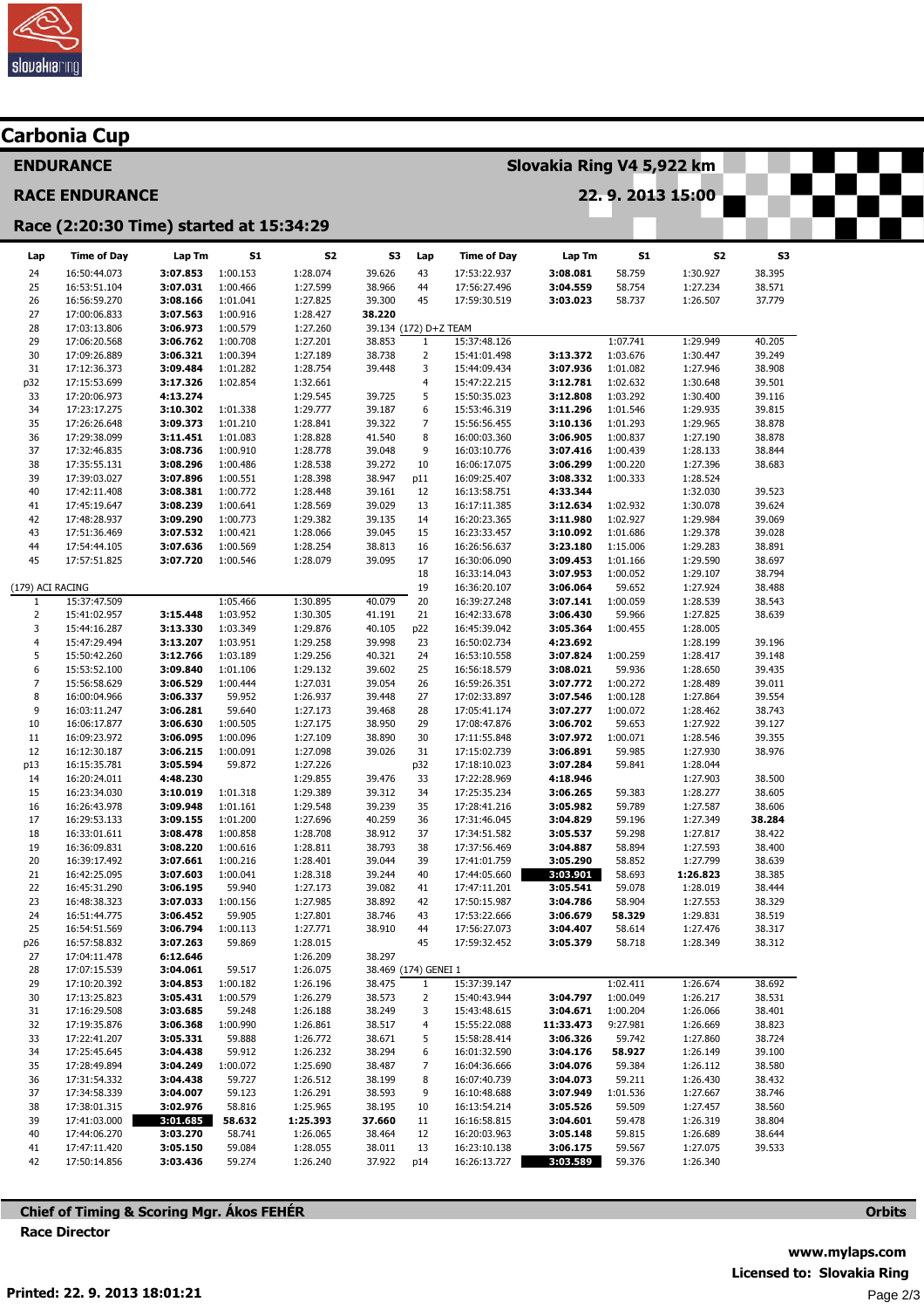

|                                         | Carbonia Cup                 |                      |                      |                      |                       |                     |                              |                           |                      |                      |                  |  |  |
|-----------------------------------------|------------------------------|----------------------|----------------------|----------------------|-----------------------|---------------------|------------------------------|---------------------------|----------------------|----------------------|------------------|--|--|
|                                         | <b>ENDURANCE</b>             |                      |                      |                      |                       |                     |                              | Slovakia Ring V4 5,922 km |                      |                      |                  |  |  |
|                                         | <b>RACE ENDURANCE</b>        |                      |                      |                      | 22.9.2013 15:00       |                     |                              |                           |                      |                      |                  |  |  |
| Race (2:20:30 Time) started at 15:34:29 |                              |                      |                      |                      |                       |                     |                              |                           |                      |                      |                  |  |  |
| Lap                                     | <b>Time of Day</b>           | Lap Tm               | <b>S1</b>            | S <sub>2</sub>       | S3                    | Lap                 | <b>Time of Day</b>           | Lap Tm                    | S1                   | S2                   | S3               |  |  |
| 24                                      | 16:50:44.073                 | 3:07.853             | 1:00.153             | 1:28.074             | 39.626                | 43                  | 17:53:22.937                 | 3:08.081                  | 58.759               | 1:30.927             | 38.395           |  |  |
| 25                                      | 16:53:51.104                 | 3:07.031             | 1:00.466             | 1:27.599             | 38.966                | 44                  | 17:56:27.496                 | 3:04.559                  | 58.754               | 1:27.234             | 38.571           |  |  |
| 26                                      | 16:56:59.270                 | 3:08.166             | 1:01.041             | 1:27.825             | 39.300                | 45                  | 17:59:30.519                 | 3:03.023                  | 58.737               | 1:26.507             | 37.779           |  |  |
| 27                                      | 17:00:06.833                 | 3:07.563             | 1:00.916             | 1:28.427             | 38.220                |                     |                              |                           |                      |                      |                  |  |  |
| 28                                      | 17:03:13.806                 | 3:06.973             | 1:00.579             | 1:27.260             | 39.134 (172) D+Z TEAM |                     |                              |                           |                      |                      |                  |  |  |
| 29<br>30                                | 17:06:20.568<br>17:09:26.889 | 3:06.762<br>3:06.321 | 1:00.708<br>1:00.394 | 1:27.201<br>1:27.189 | 38.853<br>38.738      | 1<br>$\overline{2}$ | 15:37:48.126<br>15:41:01.498 | 3:13.372                  | 1:07.741<br>1:03.676 | 1:29.949<br>1:30.447 | 40.205<br>39.249 |  |  |
| 31                                      | 17:12:36.373                 | 3:09.484             | 1:01.282             | 1:28.754             | 39.448                | 3                   | 15:44:09.434                 | 3:07.936                  | 1:01.082             | 1:27.946             | 38.908           |  |  |
| p32                                     | 17:15:53.699                 | 3:17.326             | 1:02.854             | 1:32.661             |                       | 4                   | 15:47:22.215                 | 3:12.781                  | 1:02.632             | 1:30.648             | 39.501           |  |  |
| 33                                      | 17:20:06.973                 | 4:13.274             |                      | 1:29.545             | 39.725                | 5                   | 15:50:35.023                 | 3:12.808                  | 1:03.292             | 1:30.400             | 39.116           |  |  |
| 34                                      | 17:23:17.275                 | 3:10.302             | 1:01.338             | 1:29.777             | 39.187                | 6                   | 15:53:46.319                 | 3:11.296                  | 1:01.546             | 1:29.935             | 39.815           |  |  |
| 35                                      | 17:26:26.648                 | 3:09.373             | 1:01.210             | 1:28.841             | 39.322                | $\overline{7}$      | 15:56:56.455                 | 3:10.136                  | 1:01.293             | 1:29.965             | 38.878           |  |  |
| 36                                      | 17:29:38.099                 | 3:11.451             | 1:01.083             | 1:28.828             | 41.540                | 8                   | 16:00:03.360                 | 3:06.905                  | 1:00.837             | 1:27.190             | 38.878           |  |  |
| 37                                      | 17:32:46.835                 | 3:08.736             | 1:00.910             | 1:28.778             | 39.048                | 9                   | 16:03:10.776                 | 3:07.416                  | 1:00.439             | 1:28.133             | 38.844           |  |  |
| 38<br>39                                | 17:35:55.131<br>17:39:03.027 | 3:08.296<br>3:07.896 | 1:00.486<br>1:00.551 | 1:28.538<br>1:28.398 | 39.272<br>38.947      | 10<br>p11           | 16:06:17.075<br>16:09:25.407 | 3:06.299<br>3:08.332      | 1:00.220<br>1:00.333 | 1:27.396<br>1:28.524 | 38.683           |  |  |
| 40                                      | 17:42:11.408                 | 3:08.381             | 1:00.772             | 1:28.448             | 39.161                | 12                  | 16:13:58.751                 | 4:33.344                  |                      | 1:32.030             | 39.523           |  |  |
| 41                                      | 17:45:19.647                 | 3:08.239             | 1:00.641             | 1:28.569             | 39.029                | 13                  | 16:17:11.385                 | 3:12.634                  | 1:02.932             | 1:30.078             | 39.624           |  |  |
| 42                                      | 17:48:28.937                 | 3:09.290             | 1:00.773             | 1:29.382             | 39.135                | 14                  | 16:20:23.365                 | 3:11.980                  | 1:02.927             | 1:29.984             | 39.069           |  |  |
| 43                                      | 17:51:36.469                 | 3:07.532             | 1:00.421             | 1:28.066             | 39.045                | 15                  | 16:23:33.457                 | 3:10.092                  | 1:01.686             | 1:29.378             | 39.028           |  |  |
| 44                                      | 17:54:44.105                 | 3:07.636             | 1:00.569             | 1:28.254             | 38.813                | 16                  | 16:26:56.637                 | 3:23.180                  | 1:15.006             | 1:29.283             | 38.891           |  |  |
| 45                                      | 17:57:51.825                 | 3:07.720             | 1:00.546             | 1:28.079             | 39.095                | 17                  | 16:30:06.090                 | 3:09.453                  | 1:01.166             | 1:29.590             | 38.697           |  |  |
|                                         |                              |                      |                      |                      |                       | 18                  | 16:33:14.043                 | 3:07.953                  | 1:00.052             | 1:29.107             | 38.794           |  |  |
| (179) ACI RACING                        |                              |                      |                      |                      |                       | 19                  | 16:36:20.107                 | 3:06.064                  | 59.652               | 1:27.924             | 38.488           |  |  |
| 1<br>$\overline{2}$                     | 15:37:47.509<br>15:41:02.957 | 3:15.448             | 1:05.466<br>1:03.952 | 1:30.895<br>1:30.305 | 40.079<br>41.191      | 20<br>21            | 16:39:27.248<br>16:42:33.678 | 3:07.141<br>3:06.430      | 1:00.059<br>59.966   | 1:28.539<br>1:27.825 | 38.543<br>38.639 |  |  |
| 3                                       | 15:44:16.287                 | 3:13.330             | 1:03.349             | 1:29.876             | 40.105                | p22                 | 16:45:39.042                 | 3:05.364                  | 1:00.455             | 1:28.005             |                  |  |  |
| $\overline{4}$                          | 15:47:29.494                 | 3:13.207             | 1:03.951             | 1:29.258             | 39.998                | 23                  | 16:50:02.734                 | 4:23.692                  |                      | 1:28.199             | 39.196           |  |  |
| 5                                       | 15:50:42.260                 | 3:12.766             | 1:03.189             | 1:29.256             | 40.321                | 24                  | 16:53:10.558                 | 3:07.824                  | 1:00.259             | 1:28.417             | 39.148           |  |  |
| 6                                       | 15:53:52.100                 | 3:09.840             | 1:01.106             | 1:29.132             | 39.602                | 25                  | 16:56:18.579                 | 3:08.021                  | 59.936               | 1:28.650             | 39.435           |  |  |
| $\overline{7}$                          | 15:56:58.629                 | 3:06.529             | 1:00.444             | 1:27.031             | 39.054                | 26                  | 16:59:26.351                 | 3:07.772                  | 1:00.272             | 1:28.489             | 39.011           |  |  |
| 8                                       | 16:00:04.966                 | 3:06.337             | 59.952               | 1:26.937             | 39.448                | 27                  | 17:02:33.897                 | 3:07.546                  | 1:00.128             | 1:27.864             | 39.554           |  |  |
| 9                                       | 16:03:11.247                 | 3:06.281             | 59.640               | 1:27.173             | 39.468                | 28                  | 17:05:41.174                 | 3:07.277                  | 1:00.072             | 1:28.462             | 38.743           |  |  |
| 10<br>$11\,$                            | 16:06:17.877                 | 3:06.630<br>3:06.095 | 1:00.505<br>1:00.096 | 1:27.175<br>1:27.109 | 38.950<br>38.890      | 29<br>30            | 17:08:47.876                 | 3:06.702<br>3:07.972      | 59.653               | 1:27.922             | 39.127<br>39.355 |  |  |
| 12                                      | 16:09:23.972<br>16:12:30.187 | 3:06.215             | 1:00.091             | 1:27.098             | 39.026                | 31                  | 17:11:55.848<br>17:15:02.739 | 3:06.891                  | 1:00.071<br>59.985   | 1:28.546<br>1:27.930 | 38.976           |  |  |
| p13                                     | 16:15:35.781                 | 3:05.594             | 59.872               | 1:27.226             |                       | p32                 | 17:18:10.023                 | 3:07.284                  | 59.841               | 1:28.044             |                  |  |  |
| 14                                      | 16:20:24.011                 | 4:48.230             |                      | 1:29.855             | 39.476                | 33                  | 17:22:28.969                 | 4:18.946                  |                      | 1:27.903             | 38.500           |  |  |
| 15                                      | 16:23:34.030                 | 3:10.019             | 1:01.318             | 1:29.389             | 39.312                | 34                  | 17:25:35.234                 | 3:06.265                  | 59.383               | 1:28.277             | 38.605           |  |  |
| 16                                      | 16:26:43.978                 | 3:09.948             | 1:01.161             | 1:29.548             | 39.239                | 35                  | 17:28:41.216                 | 3:05.982                  | 59.789               | 1:27.587             | 38.606           |  |  |
| 17                                      | 16:29:53.133                 | 3:09.155             | 1:01.200             | 1:27.696             | 40.259                | 36                  | 17:31:46.045                 | 3:04.829                  | 59.196               | 1:27.349             | 38.284           |  |  |
| 18                                      | 16:33:01.611                 | 3:08.478             | 1:00.858             | 1:28.708             | 38.912                | 37                  | 17:34:51.582                 | 3:05.537                  | 59.298               | 1:27.817             | 38.422           |  |  |
| 19                                      | 16:36:09.831                 | 3:08.220             | 1:00.616             | 1:28.811             | 38.793                | 38                  | 17:37:56.469                 | 3:04.887                  | 58.894               | 1:27.593             | 38.400           |  |  |
| 20<br>21                                | 16:39:17.492<br>16:42:25.095 | 3:07.661<br>3:07.603 | 1:00.216<br>1:00.041 | 1:28.401<br>1:28.318 | 39.044<br>39.244      | 39<br>40            | 17:41:01.759<br>17:44:05.660 | 3:05.290<br>3:03.901      | 58.852<br>58.693     | 1:27.799<br>1:26.823 | 38.639<br>38.385 |  |  |
| 22                                      | 16:45:31.290                 | 3:06.195             | 59.940               | 1:27.173             | 39.082                | 41                  | 17:47:11.201                 | 3:05.541                  | 59.078               | 1:28.019             | 38.444           |  |  |
| 23                                      | 16:48:38.323                 | 3:07.033             | 1:00.156             | 1:27.985             | 38.892                | 42                  | 17:50:15.987                 | 3:04.786                  | 58.904               | 1:27.553             | 38.329           |  |  |
| 24                                      | 16:51:44.775                 | 3:06.452             | 59.905               | 1:27.801             | 38.746                | 43                  | 17:53:22.666                 | 3:06.679                  | 58.329               | 1:29.831             | 38.519           |  |  |
| 25                                      | 16:54:51.569                 | 3:06.794             | 1:00.113             | 1:27.771             | 38.910                | 44                  | 17:56:27.073                 | 3:04.407                  | 58.614               | 1:27.476             | 38.317           |  |  |
| p26                                     | 16:57:58.832                 | 3:07.263             | 59.869               | 1:28.015             |                       | 45                  | 17:59:32.452                 | 3:05.379                  | 58.718               | 1:28.349             | 38.312           |  |  |
| 27                                      | 17:04:11.478                 | 6:12.646             |                      | 1:26.209             | 38.297                |                     |                              |                           |                      |                      |                  |  |  |
| 28                                      | 17:07:15.539                 | 3:04.061             | 59.517               | 1:26.075             | 38.469 (174) GENEI 1  |                     |                              |                           |                      |                      |                  |  |  |
| 29                                      | 17:10:20.392<br>17:13:25.823 | 3:04.853             | 1:00.182             | 1:26.196             | 38.475                | 1                   | 15:37:39.147                 |                           | 1:02.411             | 1:26.674             | 38.692           |  |  |
| 30<br>31                                | 17:16:29.508                 | 3:05.431<br>3:03.685 | 1:00.579<br>59.248   | 1:26.279<br>1:26.188 | 38.573<br>38.249      | $\overline{2}$<br>3 | 15:40:43.944<br>15:43:48.615 | 3:04.797<br>3:04.671      | 1:00.049<br>1:00.204 | 1:26.217<br>1:26.066 | 38.531<br>38.401 |  |  |
| 32                                      | 17:19:35.876                 | 3:06.368             | 1:00.990             | 1:26.861             | 38.517                | 4                   | 15:55:22.088                 | 11:33.473                 | 9:27.981             | 1:26.669             | 38.823           |  |  |
| 33                                      | 17:22:41.207                 | 3:05.331             | 59.888               | 1:26.772             | 38.671                | 5                   | 15:58:28.414                 | 3:06.326                  | 59.742               | 1:27.860             | 38.724           |  |  |
| 34                                      | 17:25:45.645                 | 3:04.438             | 59.912               | 1:26.232             | 38.294                | 6                   | 16:01:32.590                 | 3:04.176                  | 58.927               | 1:26.149             | 39.100           |  |  |
| 35                                      | 17:28:49.894                 | 3:04.249             | 1:00.072             | 1:25.690             | 38.487                | $\overline{7}$      | 16:04:36.666                 | 3:04.076                  | 59.384               | 1:26.112             | 38.580           |  |  |
| 36                                      | 17:31:54.332                 | 3:04.438             | 59.727               | 1:26.512             | 38.199                | 8                   | 16:07:40.739                 | 3:04.073                  | 59.211               | 1:26.430             | 38.432           |  |  |
| 37                                      | 17:34:58.339                 | 3:04.007             | 59.123               | 1:26.291             | 38.593                | 9                   | 16:10:48.688                 | 3:07.949                  | 1:01.536             | 1:27.667             | 38.746           |  |  |
| 38                                      | 17:38:01.315                 | 3:02.976             | 58.816               | 1:25.965             | 38.195                | 10                  | 16:13:54.214                 | 3:05.526                  | 59.509               | 1:27.457             | 38.560           |  |  |
| 39                                      | 17:41:03.000                 | 3:01.685             | 58.632               | 1:25.393             | 37.660                | 11                  | 16:16:58.815                 | 3:04.601                  | 59.478               | 1:26.319             | 38.804           |  |  |
| 40                                      | 17:44:06.270                 | 3:03.270             | 58.741               | 1:26.065             | 38.464                | 12                  | 16:20:03.963                 | 3:05.148                  | 59.815               | 1:26.689             | 38.644           |  |  |
| 41<br>42                                | 17:47:11.420<br>17:50:14.856 | 3:05.150<br>3:03.436 | 59.084<br>59.274     | 1:28.055<br>1:26.240 | 38.011<br>37.922      | 13<br>p14           | 16:23:10.138<br>16:26:13.727 | 3:06.175<br>3:03.589      | 59.567<br>59.376     | 1:27.075<br>1:26.340 | 39.533           |  |  |
|                                         |                              |                      |                      |                      |                       |                     |                              |                           |                      |                      |                  |  |  |

Chief of Timing & Scoring Mgr. Ákos FEHÉR Race Director

**Orbits**